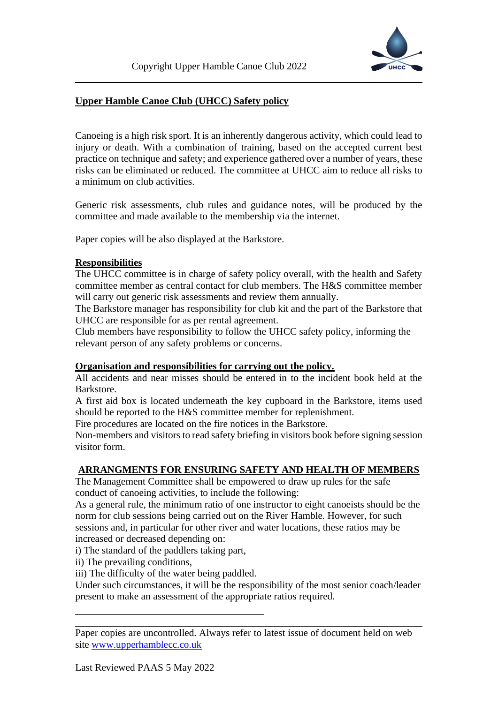

# **Upper Hamble Canoe Club (UHCC) Safety policy**

Canoeing is a high risk sport. It is an inherently dangerous activity, which could lead to injury or death. With a combination of training, based on the accepted current best practice on technique and safety; and experience gathered over a number of years, these risks can be eliminated or reduced. The committee at UHCC aim to reduce all risks to a minimum on club activities.

Generic risk assessments, club rules and guidance notes, will be produced by the committee and made available to the membership via the internet.

Paper copies will be also displayed at the Barkstore.

## **Responsibilities**

The UHCC committee is in charge of safety policy overall, with the health and Safety committee member as central contact for club members. The H&S committee member will carry out generic risk assessments and review them annually.

The Barkstore manager has responsibility for club kit and the part of the Barkstore that UHCC are responsible for as per rental agreement.

Club members have responsibility to follow the UHCC safety policy, informing the relevant person of any safety problems or concerns.

## **Organisation and responsibilities for carrying out the policy.**

All accidents and near misses should be entered in to the incident book held at the Barkstore.

A first aid box is located underneath the key cupboard in the Barkstore, items used should be reported to the H&S committee member for replenishment.

Fire procedures are located on the fire notices in the Barkstore.

Non-members and visitors to read safety briefing in visitors book before signing session visitor form.

# **ARRANGMENTS FOR ENSURING SAFETY AND HEALTH OF MEMBERS**

The Management Committee shall be empowered to draw up rules for the safe conduct of canoeing activities, to include the following:

As a general rule, the minimum ratio of one instructor to eight canoeists should be the norm for club sessions being carried out on the River Hamble. However, for such sessions and, in particular for other river and water locations, these ratios may be increased or decreased depending on:

i) The standard of the paddlers taking part,

ii) The prevailing conditions,

iii) The difficulty of the water being paddled.

Under such circumstances, it will be the responsibility of the most senior coach/leader present to make an assessment of the appropriate ratios required.

Paper copies are uncontrolled. Always refer to latest issue of document held on web site [www.upperhamblecc.co.uk](http://www.upperhamblecc.co.uk/)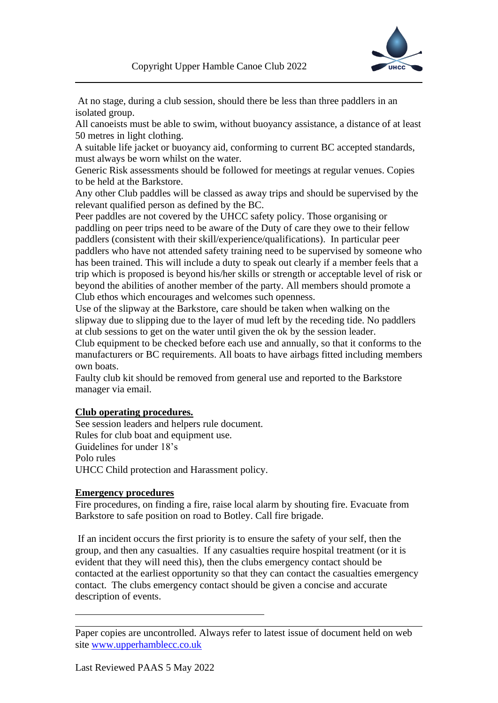

At no stage, during a club session, should there be less than three paddlers in an isolated group.

All canoeists must be able to swim, without buoyancy assistance, a distance of at least 50 metres in light clothing.

A suitable life jacket or buoyancy aid, conforming to current BC accepted standards, must always be worn whilst on the water.

Generic Risk assessments should be followed for meetings at regular venues. Copies to be held at the Barkstore.

Any other Club paddles will be classed as away trips and should be supervised by the relevant qualified person as defined by the BC.

Peer paddles are not covered by the UHCC safety policy. Those organising or paddling on peer trips need to be aware of the Duty of care they owe to their fellow paddlers (consistent with their skill/experience/qualifications). In particular peer paddlers who have not attended safety training need to be supervised by someone who has been trained. This will include a duty to speak out clearly if a member feels that a trip which is proposed is beyond his/her skills or strength or acceptable level of risk or beyond the abilities of another member of the party. All members should promote a Club ethos which encourages and welcomes such openness.

Use of the slipway at the Barkstore, care should be taken when walking on the slipway due to slipping due to the layer of mud left by the receding tide. No paddlers at club sessions to get on the water until given the ok by the session leader.

Club equipment to be checked before each use and annually, so that it conforms to the manufacturers or BC requirements. All boats to have airbags fitted including members own boats.

Faulty club kit should be removed from general use and reported to the Barkstore manager via email.

## **Club operating procedures.**

See session leaders and helpers rule document. Rules for club boat and equipment use. Guidelines for under 18's Polo rules UHCC Child protection and Harassment policy.

## **Emergency procedures**

Fire procedures, on finding a fire, raise local alarm by shouting fire. Evacuate from Barkstore to safe position on road to Botley. Call fire brigade.

If an incident occurs the first priority is to ensure the safety of your self, then the group, and then any casualties. If any casualties require hospital treatment (or it is evident that they will need this), then the clubs emergency contact should be contacted at the earliest opportunity so that they can contact the casualties emergency contact. The clubs emergency contact should be given a concise and accurate description of events.

Paper copies are uncontrolled. Always refer to latest issue of document held on web site [www.upperhamblecc.co.uk](http://www.upperhamblecc.co.uk/)